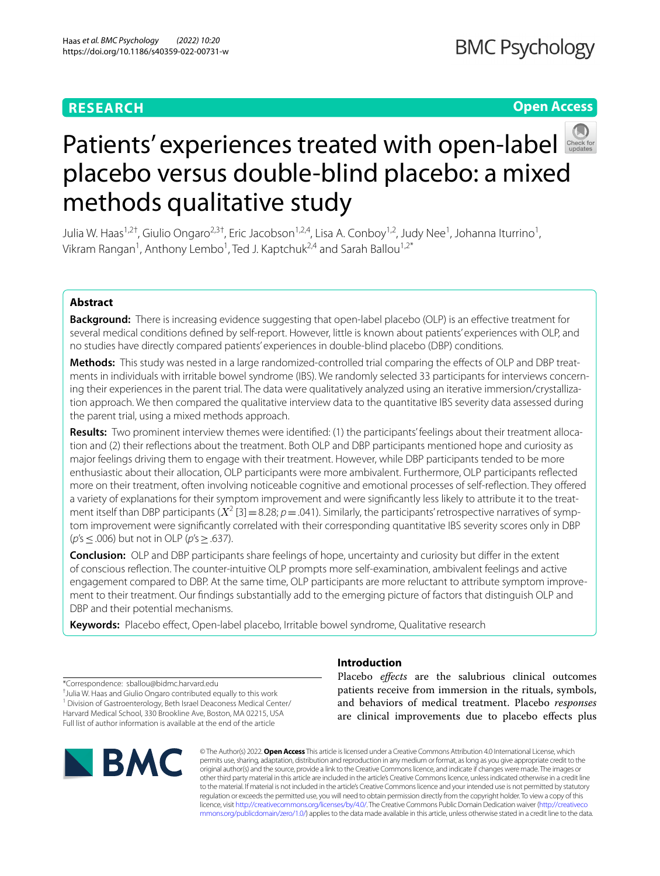# **RESEARCH**

# **Open Access**



# Patients'experiences treated with open-label placebo versus double-blind placebo: a mixed methods qualitative study

Julia W. Haas<sup>1,2†</sup>, Giulio Ongaro<sup>2,3†</sup>, Eric Jacobson<sup>1,2,4</sup>, Lisa A. Conboy<sup>1,2</sup>, Judy Nee<sup>1</sup>, Johanna Iturrino<sup>1</sup>, Vikram Rangan<sup>1</sup>, Anthony Lembo<sup>1</sup>, Ted J. Kaptchuk<sup>2,4</sup> and Sarah Ballou<sup>1,2\*</sup>

# **Abstract**

**Background:** There is increasing evidence suggesting that open-label placebo (OLP) is an efective treatment for several medical conditions defned by self-report. However, little is known about patients' experiences with OLP, and no studies have directly compared patients' experiences in double-blind placebo (DBP) conditions.

**Methods:** This study was nested in a large randomized-controlled trial comparing the efects of OLP and DBP treatments in individuals with irritable bowel syndrome (IBS). We randomly selected 33 participants for interviews concerning their experiences in the parent trial. The data were qualitatively analyzed using an iterative immersion/crystallization approach. We then compared the qualitative interview data to the quantitative IBS severity data assessed during the parent trial, using a mixed methods approach.

**Results:** Two prominent interview themes were identifed: (1) the participants' feelings about their treatment allocation and (2) their refections about the treatment. Both OLP and DBP participants mentioned hope and curiosity as major feelings driving them to engage with their treatment. However, while DBP participants tended to be more enthusiastic about their allocation, OLP participants were more ambivalent. Furthermore, OLP participants refected more on their treatment, often involving noticeable cognitive and emotional processes of self-refection. They ofered a variety of explanations for their symptom improvement and were signifcantly less likely to attribute it to the treatment itself than DBP participants  $(X^2 \text{ [3]} = 8.28; p = .041)$ . Similarly, the participants' retrospective narratives of symptom improvement were signifcantly correlated with their corresponding quantitative IBS severity scores only in DBP (*p*'s≤.006) but not in OLP (*p*'s≥.637).

**Conclusion:** OLP and DBP participants share feelings of hope, uncertainty and curiosity but difer in the extent of conscious refection. The counter-intuitive OLP prompts more self-examination, ambivalent feelings and active engagement compared to DBP. At the same time, OLP participants are more reluctant to attribute symptom improvement to their treatment. Our fndings substantially add to the emerging picture of factors that distinguish OLP and DBP and their potential mechanisms.

**Keywords:** Placebo efect, Open-label placebo, Irritable bowel syndrome, Qualitative research

\*Correspondence: sballou@bidmc.harvard.edu

† Julia W. Haas and Giulio Ongaro contributed equally to this work <sup>1</sup> Division of Gastroenterology, Beth Israel Deaconess Medical Center/ Harvard Medical School, 330 Brookline Ave, Boston, MA 02215, USA Full list of author information is available at the end of the article



# **Introduction**

Placebo *efects* are the salubrious clinical outcomes patients receive from immersion in the rituals, symbols, and behaviors of medical treatment. Placebo *responses* are clinical improvements due to placebo efects plus

© The Author(s) 2022. **Open Access** This article is licensed under a Creative Commons Attribution 4.0 International License, which permits use, sharing, adaptation, distribution and reproduction in any medium or format, as long as you give appropriate credit to the original author(s) and the source, provide a link to the Creative Commons licence, and indicate if changes were made. The images or other third party material in this article are included in the article's Creative Commons licence, unless indicated otherwise in a credit line to the material. If material is not included in the article's Creative Commons licence and your intended use is not permitted by statutory regulation or exceeds the permitted use, you will need to obtain permission directly from the copyright holder. To view a copy of this licence, visit [http://creativecommons.org/licenses/by/4.0/.](http://creativecommons.org/licenses/by/4.0/) The Creative Commons Public Domain Dedication waiver ([http://creativeco](http://creativecommons.org/publicdomain/zero/1.0/) [mmons.org/publicdomain/zero/1.0/](http://creativecommons.org/publicdomain/zero/1.0/)) applies to the data made available in this article, unless otherwise stated in a credit line to the data.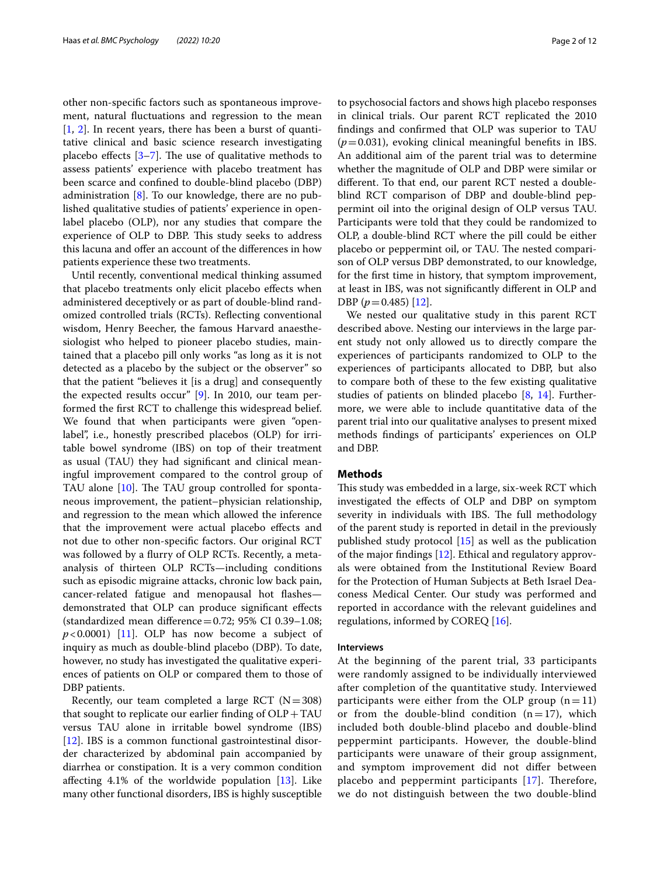other non-specifc factors such as spontaneous improvement, natural fuctuations and regression to the mean [[1,](#page-10-0) [2](#page-10-1)]. In recent years, there has been a burst of quantitative clinical and basic science research investigating placebo effects  $[3-7]$  $[3-7]$  $[3-7]$ . The use of qualitative methods to assess patients' experience with placebo treatment has been scarce and confned to double-blind placebo (DBP) administration [\[8](#page-10-4)]. To our knowledge, there are no published qualitative studies of patients' experience in openlabel placebo (OLP), nor any studies that compare the experience of OLP to DBP. This study seeks to address this lacuna and ofer an account of the diferences in how patients experience these two treatments.

Until recently, conventional medical thinking assumed that placebo treatments only elicit placebo efects when administered deceptively or as part of double-blind randomized controlled trials (RCTs). Refecting conventional wisdom, Henry Beecher, the famous Harvard anaesthesiologist who helped to pioneer placebo studies, maintained that a placebo pill only works "as long as it is not detected as a placebo by the subject or the observer" so that the patient "believes it [is a drug] and consequently the expected results occur" [[9\]](#page-10-5). In 2010, our team performed the frst RCT to challenge this widespread belief. We found that when participants were given "openlabel", i.e., honestly prescribed placebos (OLP) for irritable bowel syndrome (IBS) on top of their treatment as usual (TAU) they had signifcant and clinical meaningful improvement compared to the control group of TAU alone  $[10]$ . The TAU group controlled for spontaneous improvement, the patient–physician relationship, and regression to the mean which allowed the inference that the improvement were actual placebo efects and not due to other non-specifc factors. Our original RCT was followed by a furry of OLP RCTs. Recently, a metaanalysis of thirteen OLP RCTs—including conditions such as episodic migraine attacks, chronic low back pain, cancer-related fatigue and menopausal hot fashes demonstrated that OLP can produce signifcant efects (standardized mean difference =  $0.72$ ; 95% CI 0.39-1.08;  $p$ <0.0001) [[11\]](#page-10-7). OLP has now become a subject of inquiry as much as double-blind placebo (DBP). To date, however, no study has investigated the qualitative experiences of patients on OLP or compared them to those of DBP patients.

Recently, our team completed a large RCT ( $N=308$ ) that sought to replicate our earlier finding of  $OLP+TAU$ versus TAU alone in irritable bowel syndrome (IBS) [[12\]](#page-10-8). IBS is a common functional gastrointestinal disorder characterized by abdominal pain accompanied by diarrhea or constipation. It is a very common condition affecting  $4.1\%$  of the worldwide population  $[13]$  $[13]$ . Like many other functional disorders, IBS is highly susceptible to psychosocial factors and shows high placebo responses in clinical trials. Our parent RCT replicated the 2010 fndings and confrmed that OLP was superior to TAU  $(p=0.031)$ , evoking clinical meaningful benefits in IBS. An additional aim of the parent trial was to determine whether the magnitude of OLP and DBP were similar or diferent. To that end, our parent RCT nested a doubleblind RCT comparison of DBP and double-blind peppermint oil into the original design of OLP versus TAU. Participants were told that they could be randomized to OLP, a double-blind RCT where the pill could be either placebo or peppermint oil, or TAU. The nested comparison of OLP versus DBP demonstrated, to our knowledge, for the frst time in history, that symptom improvement, at least in IBS, was not signifcantly diferent in OLP and DBP (*p*=0.485) [[12\]](#page-10-8).

We nested our qualitative study in this parent RCT described above. Nesting our interviews in the large parent study not only allowed us to directly compare the experiences of participants randomized to OLP to the experiences of participants allocated to DBP, but also to compare both of these to the few existing qualitative studies of patients on blinded placebo [\[8,](#page-10-4) [14\]](#page-10-10). Furthermore, we were able to include quantitative data of the parent trial into our qualitative analyses to present mixed methods fndings of participants' experiences on OLP and DBP.

# **Methods**

This study was embedded in a large, six-week RCT which investigated the efects of OLP and DBP on symptom severity in individuals with IBS. The full methodology of the parent study is reported in detail in the previously published study protocol [\[15](#page-10-11)] as well as the publication of the major fndings [[12\]](#page-10-8). Ethical and regulatory approvals were obtained from the Institutional Review Board for the Protection of Human Subjects at Beth Israel Deaconess Medical Center. Our study was performed and reported in accordance with the relevant guidelines and regulations, informed by COREQ [[16\]](#page-10-12).

# **Interviews**

At the beginning of the parent trial, 33 participants were randomly assigned to be individually interviewed after completion of the quantitative study. Interviewed participants were either from the OLP group  $(n=11)$ or from the double-blind condition  $(n=17)$ , which included both double-blind placebo and double-blind peppermint participants. However, the double-blind participants were unaware of their group assignment, and symptom improvement did not difer between placebo and peppermint participants  $[17]$  $[17]$  $[17]$ . Therefore, we do not distinguish between the two double-blind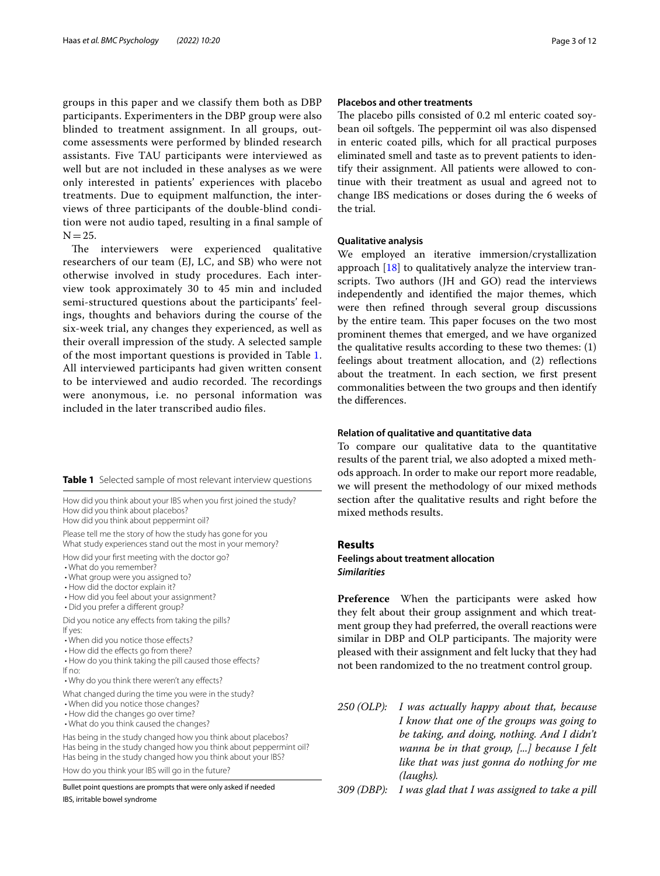groups in this paper and we classify them both as DBP participants. Experimenters in the DBP group were also blinded to treatment assignment. In all groups, outcome assessments were performed by blinded research assistants. Five TAU participants were interviewed as well but are not included in these analyses as we were only interested in patients' experiences with placebo treatments. Due to equipment malfunction, the interviews of three participants of the double-blind condition were not audio taped, resulting in a fnal sample of  $N=25.$ 

The interviewers were experienced qualitative researchers of our team (EJ, LC, and SB) who were not otherwise involved in study procedures. Each interview took approximately 30 to 45 min and included semi-structured questions about the participants' feelings, thoughts and behaviors during the course of the six-week trial, any changes they experienced, as well as their overall impression of the study. A selected sample of the most important questions is provided in Table [1](#page-2-0). All interviewed participants had given written consent to be interviewed and audio recorded. The recordings were anonymous, i.e. no personal information was included in the later transcribed audio fles.

<span id="page-2-0"></span>**Table 1** Selected sample of most relevant interview questions

How did you think about your IBS when you frst joined the study? How did you think about placebos?

How did you think about peppermint oil?

Please tell me the story of how the study has gone for you What study experiences stand out the most in your memory?

How did your frst meeting with the doctor go?

- What do you remember?
- What group were you assigned to?
- How did the doctor explain it?
- How did you feel about your assignment?
- Did you prefer a diferent group?

Did you notice any efects from taking the pills? If yes:

- When did you notice those efects?
- How did the effects go from there?
- How do you think taking the pill caused those efects? If no:
- Why do you think there weren't any efects?

What changed during the time you were in the study?

- When did you notice those changes?
- How did the changes go over time?
- What do you think caused the changes?

Has being in the study changed how you think about placebos? Has being in the study changed how you think about peppermint oil? Has being in the study changed how you think about your IBS?

How do you think your IBS will go in the future?

Bullet point questions are prompts that were only asked if needed IBS, irritable bowel syndrome

# **Placebos and other treatments**

The placebo pills consisted of 0.2 ml enteric coated soybean oil softgels. The peppermint oil was also dispensed in enteric coated pills, which for all practical purposes eliminated smell and taste as to prevent patients to identify their assignment. All patients were allowed to continue with their treatment as usual and agreed not to change IBS medications or doses during the 6 weeks of the trial.

# **Qualitative analysis**

We employed an iterative immersion/crystallization approach  $[18]$  $[18]$  to qualitatively analyze the interview transcripts. Two authors (JH and GO) read the interviews independently and identifed the major themes, which were then refned through several group discussions by the entire team. This paper focuses on the two most prominent themes that emerged, and we have organized the qualitative results according to these two themes: (1) feelings about treatment allocation, and (2) refections about the treatment. In each section, we frst present commonalities between the two groups and then identify the diferences.

# **Relation of qualitative and quantitative data**

To compare our qualitative data to the quantitative results of the parent trial, we also adopted a mixed methods approach. In order to make our report more readable, we will present the methodology of our mixed methods section after the qualitative results and right before the mixed methods results.

### **Results**

# **Feelings about treatment allocation** *Similarities*

**Preference** When the participants were asked how they felt about their group assignment and which treatment group they had preferred, the overall reactions were similar in DBP and OLP participants. The majority were pleased with their assignment and felt lucky that they had not been randomized to the no treatment control group.

- *250 (OLP): I was actually happy about that, because I know that one of the groups was going to be taking, and doing, nothing. And I didn't wanna be in that group, [...] because I felt like that was just gonna do nothing for me (laughs).*
- *309 (DBP): I was glad that I was assigned to take a pill*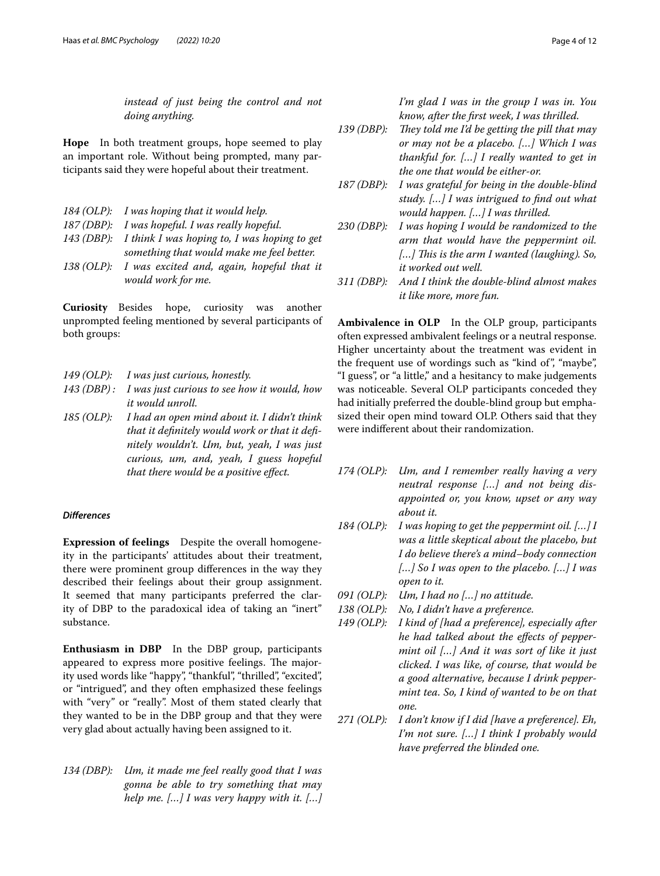*instead of just being the control and not doing anything.*

**Hope** In both treatment groups, hope seemed to play an important role. Without being prompted, many participants said they were hopeful about their treatment.

- *184 (OLP): I was hoping that it would help.*
- *187 (DBP): I was hopeful. I was really hopeful.*
- *143 (DBP): I think I was hoping to, I was hoping to get something that would make me feel better.*
- *138 (OLP): I was excited and, again, hopeful that it would work for me.*

**Curiosity** Besides hope, curiosity was another unprompted feeling mentioned by several participants of both groups:

- *149 (OLP): I was just curious, honestly.*
- *143 (DBP) : I was just curious to see how it would, how it would unroll.*
- *185 (OLP): I had an open mind about it. I didn't think that it defnitely would work or that it defnitely wouldn't. Um, but, yeah, I was just curious, um, and, yeah, I guess hopeful that there would be a positive efect.*

# *Diferences*

**Expression of feelings** Despite the overall homogeneity in the participants' attitudes about their treatment, there were prominent group diferences in the way they described their feelings about their group assignment. It seemed that many participants preferred the clarity of DBP to the paradoxical idea of taking an "inert" substance.

**Enthusiasm in DBP** In the DBP group, participants appeared to express more positive feelings. The majority used words like "happy", "thankful", "thrilled", "excited", or "intrigued", and they often emphasized these feelings with "very" or "really". Most of them stated clearly that they wanted to be in the DBP group and that they were very glad about actually having been assigned to it.

*134 (DBP): Um, it made me feel really good that I was gonna be able to try something that may help me. […] I was very happy with it. […]*  *I'm glad I was in the group I was in. You know, after the frst week, I was thrilled.*

- 139 (DBP): They told me I'd be getting the pill that may *or may not be a placebo. […] Which I was thankful for. […] I really wanted to get in the one that would be either-or.*
- *187 (DBP): I was grateful for being in the double-blind study. […] I was intrigued to fnd out what would happen. […] I was thrilled.*
- *230 (DBP): I was hoping I would be randomized to the arm that would have the peppermint oil. […] Tis is the arm I wanted (laughing). So, it worked out well.*
- *311 (DBP): And I think the double-blind almost makes it like more, more fun.*

**Ambivalence in OLP** In the OLP group, participants often expressed ambivalent feelings or a neutral response. Higher uncertainty about the treatment was evident in the frequent use of wordings such as "kind of", "maybe", "I guess", or "a little," and a hesitancy to make judgements was noticeable. Several OLP participants conceded they had initially preferred the double-blind group but emphasized their open mind toward OLP. Others said that they were indiferent about their randomization.

- *174 (OLP): Um, and I remember really having a very neutral response […] and not being disappointed or, you know, upset or any way about it.*
- *184 (OLP): I was hoping to get the peppermint oil. […] I was a little skeptical about the placebo, but I do believe there's a mind–body connection […] So I was open to the placebo. […] I was open to it.*
- *091 (OLP): Um, I had no […] no attitude.*
- *138 (OLP): No, I didn't have a preference.*
- *149 (OLP): I kind of [had a preference], especially after he had talked about the efects of peppermint oil […] And it was sort of like it just clicked. I was like, of course, that would be a good alternative, because I drink peppermint tea. So, I kind of wanted to be on that one.*
- *271 (OLP): I don't know if I did [have a preference]. Eh, I'm not sure. […] I think I probably would have preferred the blinded one.*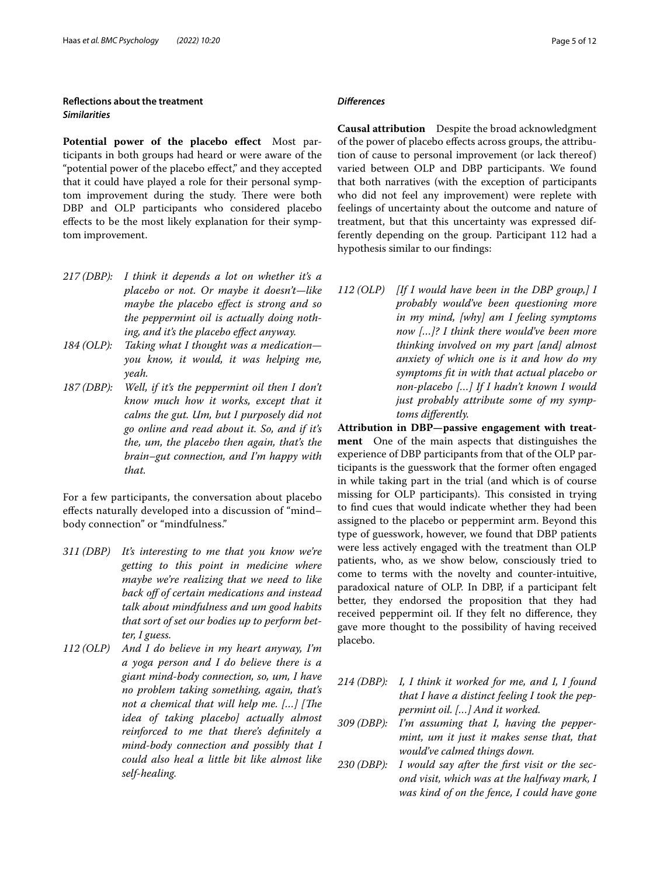# **Refections about the treatment** *Similarities*

Potential power of the placebo effect Most participants in both groups had heard or were aware of the "potential power of the placebo efect," and they accepted that it could have played a role for their personal symptom improvement during the study. There were both DBP and OLP participants who considered placebo efects to be the most likely explanation for their symptom improvement.

- *217 (DBP): I think it depends a lot on whether it's a placebo or not. Or maybe it doesn't—like maybe the placebo efect is strong and so the peppermint oil is actually doing nothing, and it's the placebo efect anyway.*
- *184 (OLP): Taking what I thought was a medication you know, it would, it was helping me, yeah.*
- *187 (DBP): Well, if it's the peppermint oil then I don't know much how it works, except that it calms the gut. Um, but I purposely did not go online and read about it. So, and if it's the, um, the placebo then again, that's the brain–gut connection, and I'm happy with that.*

For a few participants, the conversation about placebo efects naturally developed into a discussion of "mind– body connection" or "mindfulness."

- *311 (DBP) It's interesting to me that you know we're getting to this point in medicine where maybe we're realizing that we need to like back of of certain medications and instead talk about mindfulness and um good habits that sort of set our bodies up to perform better, I guess.*
- *112 (OLP) And I do believe in my heart anyway, I'm a yoga person and I do believe there is a giant mind-body connection, so, um, I have no problem taking something, again, that's not a chemical that will help me.* [...] [The *idea of taking placebo] actually almost reinforced to me that there's defnitely a mind-body connection and possibly that I could also heal a little bit like almost like self-healing.*

# *Diferences*

**Causal attribution** Despite the broad acknowledgment of the power of placebo efects across groups, the attribution of cause to personal improvement (or lack thereof) varied between OLP and DBP participants. We found that both narratives (with the exception of participants who did not feel any improvement) were replete with feelings of uncertainty about the outcome and nature of treatment, but that this uncertainty was expressed differently depending on the group. Participant 112 had a hypothesis similar to our fndings:

*112 (OLP) [If I would have been in the DBP group,] I probably would've been questioning more in my mind, [why] am I feeling symptoms now […]? I think there would've been more thinking involved on my part [and] almost anxiety of which one is it and how do my symptoms ft in with that actual placebo or non-placebo […] If I hadn't known I would just probably attribute some of my symptoms diferently.*

**Attribution in DBP—passive engagement with treatment** One of the main aspects that distinguishes the experience of DBP participants from that of the OLP participants is the guesswork that the former often engaged in while taking part in the trial (and which is of course missing for OLP participants). This consisted in trying to fnd cues that would indicate whether they had been assigned to the placebo or peppermint arm. Beyond this type of guesswork, however, we found that DBP patients were less actively engaged with the treatment than OLP patients, who, as we show below, consciously tried to come to terms with the novelty and counter-intuitive, paradoxical nature of OLP. In DBP, if a participant felt better, they endorsed the proposition that they had received peppermint oil. If they felt no diference, they gave more thought to the possibility of having received placebo.

- *214 (DBP): I, I think it worked for me, and I, I found that I have a distinct feeling I took the peppermint oil. […] And it worked.*
- *309 (DBP): I'm assuming that I, having the peppermint, um it just it makes sense that, that would've calmed things down.*
- *230 (DBP): I would say after the frst visit or the second visit, which was at the halfway mark, I was kind of on the fence, I could have gone*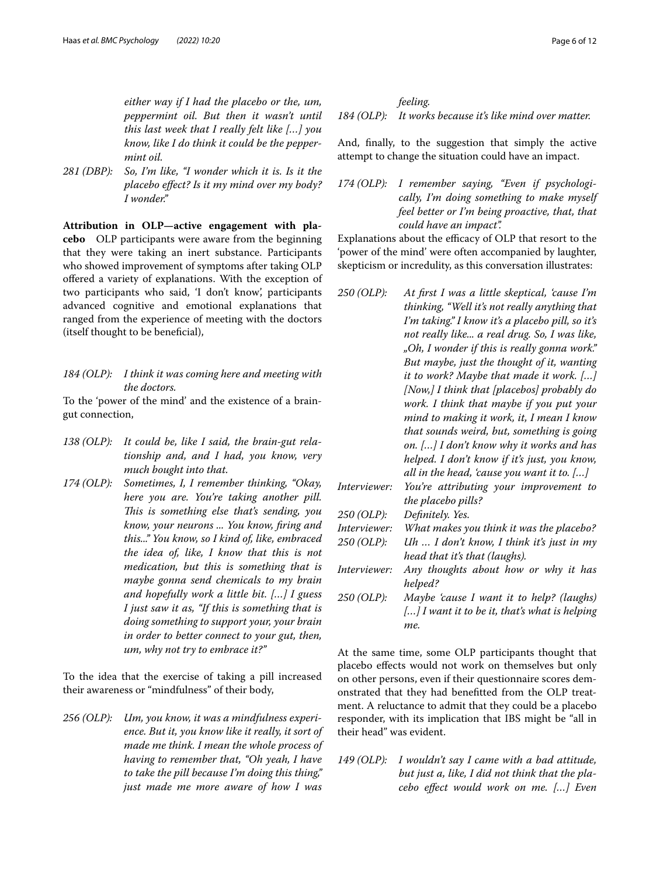*either way if I had the placebo or the, um, peppermint oil. But then it wasn't until this last week that I really felt like […] you know, like I do think it could be the peppermint oil.*

*281 (DBP): So, I'm like, "I wonder which it is. Is it the placebo efect? Is it my mind over my body? I wonder."*

**Attribution in OLP—active engagement with placebo** OLP participants were aware from the beginning that they were taking an inert substance. Participants who showed improvement of symptoms after taking OLP ofered a variety of explanations. With the exception of two participants who said, 'I don't know', participants advanced cognitive and emotional explanations that ranged from the experience of meeting with the doctors (itself thought to be benefcial),

*184 (OLP): I think it was coming here and meeting with the doctors.*

To the 'power of the mind' and the existence of a braingut connection,

- *138 (OLP): It could be, like I said, the brain-gut relationship and, and I had, you know, very much bought into that.*
- *174 (OLP): Sometimes, I, I remember thinking, "Okay, here you are. You're taking another pill. Tis is something else that's sending, you know, your neurons ... You know, fring and this..." You know, so I kind of, like, embraced the idea of, like, I know that this is not medication, but this is something that is maybe gonna send chemicals to my brain and hopefully work a little bit. […] I guess I just saw it as, "If this is something that is doing something to support your, your brain in order to better connect to your gut, then, um, why not try to embrace it?"*

To the idea that the exercise of taking a pill increased their awareness or "mindfulness" of their body,

*256 (OLP): Um, you know, it was a mindfulness experience. But it, you know like it really, it sort of made me think. I mean the whole process of having to remember that, "Oh yeah, I have to take the pill because I'm doing this thing," just made me more aware of how I was* 

*feeling. 184 (OLP): It works because it's like mind over matter.*

And, fnally, to the suggestion that simply the active attempt to change the situation could have an impact.

*174 (OLP): I remember saying, "Even if psychologically, I'm doing something to make myself feel better or I'm being proactive, that, that could have an impact".*

Explanations about the efficacy of OLP that resort to the 'power of the mind' were often accompanied by laughter, skepticism or incredulity, as this conversation illustrates:

- *250 (OLP): At frst I was a little skeptical, 'cause I'm thinking, "Well it's not really anything that I'm taking." I know it's a placebo pill, so it's not really like... a real drug. So, I was like, "Oh, I wonder if this is really gonna work." But maybe, just the thought of it, wanting it to work? Maybe that made it work. […] [Now,] I think that [placebos] probably do work. I think that maybe if you put your mind to making it work, it, I mean I know that sounds weird, but, something is going on. […] I don't know why it works and has helped. I don't know if it's just, you know, all in the head, 'cause you want it to. […] Interviewer: You're attributing your improvement to*
- *the placebo pills? 250 (OLP): Defnitely. Yes. Interviewer: What makes you think it was the placebo? 250 (OLP): Uh … I don't know, I think it's just in my head that it's that (laughs).*
- *Interviewer: Any thoughts about how or why it has helped?*
- *250 (OLP): Maybe 'cause I want it to help? (laughs) […] I want it to be it, that's what is helping me.*

At the same time, some OLP participants thought that placebo efects would not work on themselves but only on other persons, even if their questionnaire scores demonstrated that they had beneftted from the OLP treatment. A reluctance to admit that they could be a placebo responder, with its implication that IBS might be "all in their head" was evident.

*149 (OLP): I wouldn't say I came with a bad attitude, but just a, like, I did not think that the placebo efect would work on me. […] Even*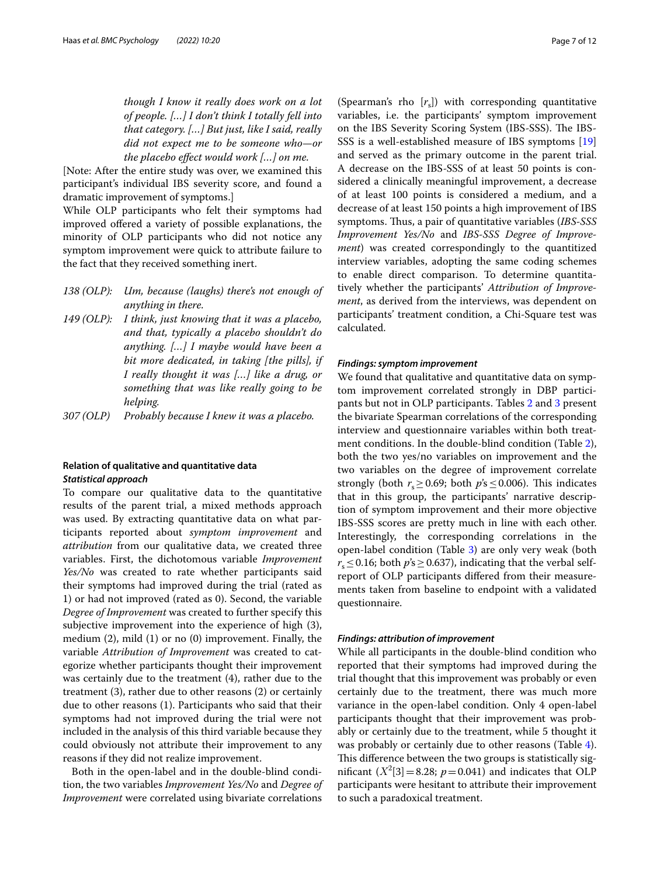*though I know it really does work on a lot of people. […] I don't think I totally fell into that category. […] But just, like I said, really did not expect me to be someone who—or the placebo efect would work […] on me.*

[Note: After the entire study was over, we examined this participant's individual IBS severity score, and found a dramatic improvement of symptoms.]

While OLP participants who felt their symptoms had improved ofered a variety of possible explanations, the minority of OLP participants who did not notice any symptom improvement were quick to attribute failure to the fact that they received something inert.

- *138 (OLP): Um, because (laughs) there's not enough of anything in there.*
- *149 (OLP): I think, just knowing that it was a placebo, and that, typically a placebo shouldn't do anything. […] I maybe would have been a bit more dedicated, in taking [the pills], if I really thought it was […] like a drug, or something that was like really going to be helping.*
- *307 (OLP) Probably because I knew it was a placebo.*

# **Relation of qualitative and quantitative data** *Statistical approach*

To compare our qualitative data to the quantitative results of the parent trial, a mixed methods approach was used. By extracting quantitative data on what participants reported about *symptom improvement* and *attribution* from our qualitative data, we created three variables. First, the dichotomous variable *Improvement Yes/No* was created to rate whether participants said their symptoms had improved during the trial (rated as 1) or had not improved (rated as 0). Second, the variable *Degree of Improvement* was created to further specify this subjective improvement into the experience of high (3), medium (2), mild (1) or no (0) improvement. Finally, the variable *Attribution of Improvement* was created to categorize whether participants thought their improvement was certainly due to the treatment (4), rather due to the treatment (3), rather due to other reasons (2) or certainly due to other reasons (1). Participants who said that their symptoms had not improved during the trial were not included in the analysis of this third variable because they could obviously not attribute their improvement to any reasons if they did not realize improvement.

Both in the open-label and in the double-blind condition, the two variables *Improvement Yes/No* and *Degree of Improvement* were correlated using bivariate correlations

(Spearman's rho [*r*s]) with corresponding quantitative variables, i.e. the participants' symptom improvement on the IBS Severity Scoring System (IBS-SSS). The IBS-SSS is a well-established measure of IBS symptoms [[19](#page-11-1)] and served as the primary outcome in the parent trial. A decrease on the IBS-SSS of at least 50 points is considered a clinically meaningful improvement, a decrease of at least 100 points is considered a medium, and a decrease of at least 150 points a high improvement of IBS symptoms. Thus, a pair of quantitative variables (*IBS-SSS Improvement Yes/No* and *IBS-SSS Degree of Improvement*) was created correspondingly to the quantitized interview variables, adopting the same coding schemes to enable direct comparison. To determine quantitatively whether the participants' *Attribution of Improvement*, as derived from the interviews, was dependent on participants' treatment condition, a Chi-Square test was calculated.

# *Findings: symptom improvement*

We found that qualitative and quantitative data on symptom improvement correlated strongly in DBP participants but not in OLP participants. Tables [2](#page-7-0) and [3](#page-7-1) present the bivariate Spearman correlations of the corresponding interview and questionnaire variables within both treatment conditions. In the double-blind condition (Table [2](#page-7-0)), both the two yes/no variables on improvement and the two variables on the degree of improvement correlate strongly (both  $r_s \ge 0.69$ ; both  $p's \le 0.006$ ). This indicates that in this group, the participants' narrative description of symptom improvement and their more objective IBS-SSS scores are pretty much in line with each other. Interestingly, the corresponding correlations in the open-label condition (Table [3\)](#page-7-1) are only very weak (both  $r_s$  < 0.16; both  $p$ 's > 0.637), indicating that the verbal selfreport of OLP participants difered from their measurements taken from baseline to endpoint with a validated questionnaire.

# *Findings: attribution of improvement*

While all participants in the double-blind condition who reported that their symptoms had improved during the trial thought that this improvement was probably or even certainly due to the treatment, there was much more variance in the open-label condition. Only 4 open-label participants thought that their improvement was probably or certainly due to the treatment, while 5 thought it was probably or certainly due to other reasons (Table [4](#page-7-2)). This difference between the two groups is statistically significant  $(X^2[3] = 8.28; p = 0.041)$  and indicates that OLP participants were hesitant to attribute their improvement to such a paradoxical treatment.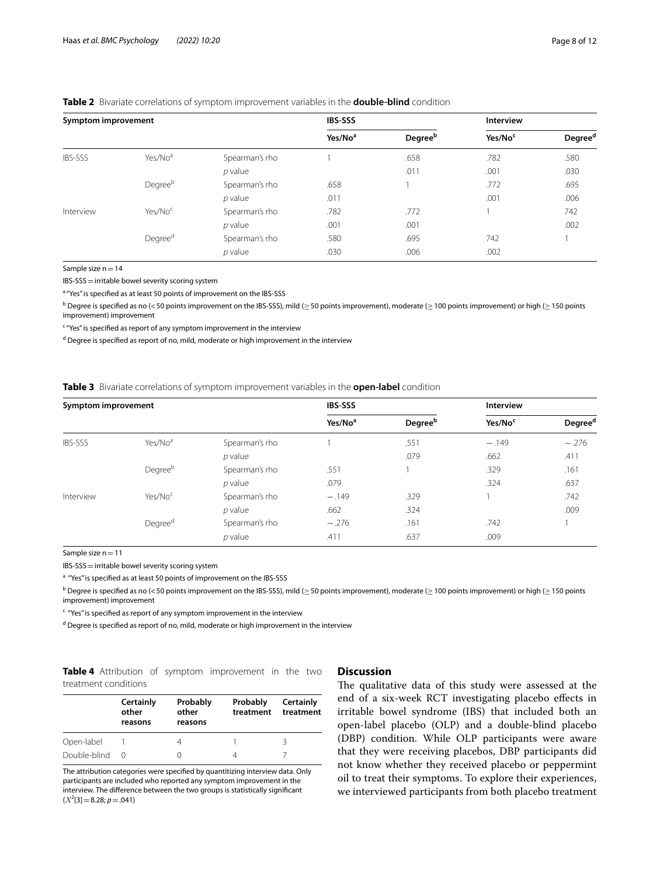# <span id="page-7-0"></span>**Table 2** Bivariate correlations of symptom improvement variables in the **double-blind** condition

| Symptom improvement |                     |                | <b>IBS-SSS</b>      |                            | <b>Interview</b>    |                     |
|---------------------|---------------------|----------------|---------------------|----------------------------|---------------------|---------------------|
|                     |                     |                | Yes/No <sup>a</sup> | <b>Degree</b> <sup>b</sup> | Yes/No <sup>c</sup> | Degree <sup>d</sup> |
| <b>IBS-SSS</b>      | Yes/No <sup>a</sup> | Spearman's rho |                     | .658                       | .782                | .580                |
|                     |                     | $p$ value      |                     | .011                       | .001                | .030                |
|                     | Degreeb             | Spearman's rho | .658                | 1                          | .772                | .695                |
|                     |                     | $p$ value      | .011                |                            | .001                | .006                |
| Interview           | Yes/No <sup>c</sup> | Spearman's rho | .782                | .772                       |                     | 742                 |
|                     |                     | $p$ value      | .001                | .001                       |                     | .002                |
|                     | Degree <sup>d</sup> | Spearman's rho | .580                | .695                       | 742                 |                     |
|                     |                     | $p$ value      | .030                | .006                       | .002                |                     |

Sample size  $n=14$ 

IBS-SSS=irritable bowel severity scoring system

a "Yes" is specified as at least 50 points of improvement on the IBS-SSS

 $^{\rm b}$  Degree is specified as no (<50 points improvement on the IBS-SSS), mild ( $\ge$  50 points improvement), moderate ( $\ge$  100 points improvement) or high ( $\ge$  150 points improvement) improvement

<sup>c</sup> "Yes" is specified as report of any symptom improvement in the interview

<sup>d</sup> Degree is specified as report of no, mild, moderate or high improvement in the interview

### <span id="page-7-1"></span>**Table 3** Bivariate correlations of symptom improvement variables in the **open-label** condition

| Symptom improvement |                     |                | <b>IBS-SSS</b>      |                            | <b>Interview</b>    |                     |
|---------------------|---------------------|----------------|---------------------|----------------------------|---------------------|---------------------|
|                     |                     |                | Yes/No <sup>a</sup> | <b>Degree</b> <sup>b</sup> | Yes/No <sup>c</sup> | Degree <sup>d</sup> |
| IBS-SSS             | Yes/No <sup>a</sup> | Spearman's rho |                     | .551                       | $-.149$             | $-.276$             |
|                     |                     | $p$ value      |                     | .079                       | .662                | .411                |
|                     | Degreeb             | Spearman's rho | .551                |                            | .329                | .161                |
|                     |                     | $p$ value      | .079                |                            | .324                | .637                |
| Interview           | Yes/No <sup>c</sup> | Spearman's rho | $-.149$             | .329                       |                     | .742                |
|                     |                     | $p$ value      | .662                | .324                       |                     | .009                |
|                     | Degree <sup>d</sup> | Spearman's rho | $-.276$             | .161                       | .742                |                     |
|                     |                     | $p$ value      | .411                | .637                       | .009                |                     |

Sample size n = 11

IBS-SSS=irritable bowel severity scoring system

<sup>a</sup> "Yes" is specified as at least 50 points of improvement on the IBS-SSS

 $^{\rm b}$  Degree is specified as no (< 50 points improvement on the IBS-SSS), mild ( $\ge$  50 points improvement), moderate ( $\ge$  100 points improvement) or high ( $\ge$  150 points improvement) improvement

<sup>c</sup> "Yes" is specified as report of any symptom improvement in the interview

<sup>d</sup> Degree is specified as report of no, mild, moderate or high improvement in the interview

<span id="page-7-2"></span>**Table 4** Attribution of symptom improvement in the two treatment conditions

#### **Certainly other reasons Probably other reasons Probably treatment Certainly treatment** Open-label 1 4 1 3 Double-blind 0 0 4 7

The attribution categories were specifed by quantitizing interview data. Only participants are included who reported any symptom improvement in the interview. The diference between the two groups is statistically signifcant  $(X^2[3] = 8.28; p = .041)$ 

# **Discussion**

The qualitative data of this study were assessed at the end of a six-week RCT investigating placebo efects in irritable bowel syndrome (IBS) that included both an open-label placebo (OLP) and a double-blind placebo (DBP) condition. While OLP participants were aware that they were receiving placebos, DBP participants did not know whether they received placebo or peppermint oil to treat their symptoms. To explore their experiences, we interviewed participants from both placebo treatment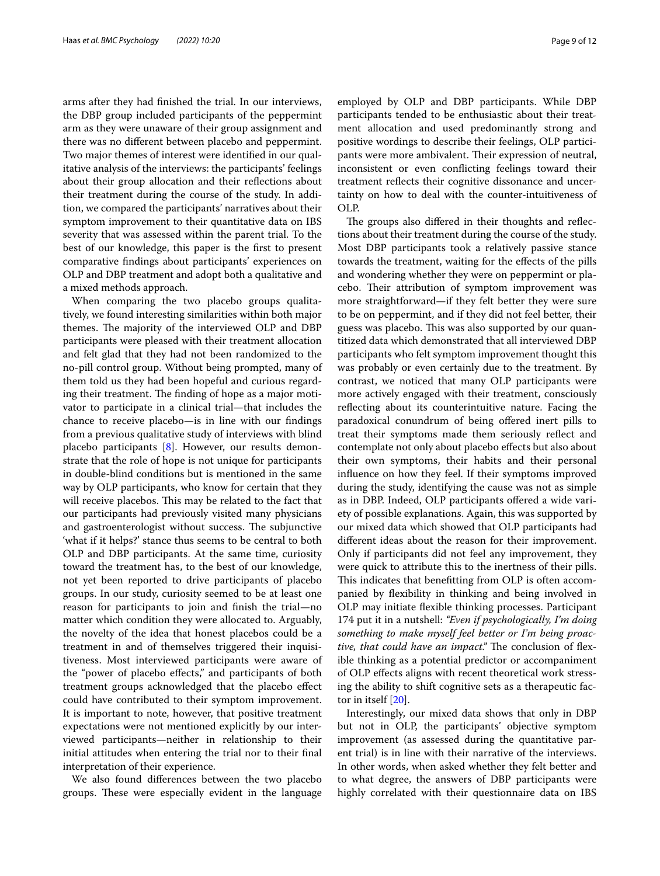arms after they had fnished the trial. In our interviews, the DBP group included participants of the peppermint arm as they were unaware of their group assignment and there was no diferent between placebo and peppermint. Two major themes of interest were identifed in our qualitative analysis of the interviews: the participants' feelings about their group allocation and their refections about their treatment during the course of the study. In addition, we compared the participants' narratives about their symptom improvement to their quantitative data on IBS severity that was assessed within the parent trial. To the best of our knowledge, this paper is the frst to present comparative fndings about participants' experiences on OLP and DBP treatment and adopt both a qualitative and a mixed methods approach.

When comparing the two placebo groups qualitatively, we found interesting similarities within both major themes. The majority of the interviewed OLP and DBP participants were pleased with their treatment allocation and felt glad that they had not been randomized to the no-pill control group. Without being prompted, many of them told us they had been hopeful and curious regarding their treatment. The finding of hope as a major motivator to participate in a clinical trial—that includes the chance to receive placebo—is in line with our fndings from a previous qualitative study of interviews with blind placebo participants [[8\]](#page-10-4). However, our results demonstrate that the role of hope is not unique for participants in double-blind conditions but is mentioned in the same way by OLP participants, who know for certain that they will receive placebos. This may be related to the fact that our participants had previously visited many physicians and gastroenterologist without success. The subjunctive 'what if it helps?' stance thus seems to be central to both OLP and DBP participants. At the same time, curiosity toward the treatment has, to the best of our knowledge, not yet been reported to drive participants of placebo groups. In our study, curiosity seemed to be at least one reason for participants to join and fnish the trial—no matter which condition they were allocated to. Arguably, the novelty of the idea that honest placebos could be a treatment in and of themselves triggered their inquisitiveness. Most interviewed participants were aware of the "power of placebo efects," and participants of both treatment groups acknowledged that the placebo efect could have contributed to their symptom improvement. It is important to note, however, that positive treatment expectations were not mentioned explicitly by our interviewed participants—neither in relationship to their initial attitudes when entering the trial nor to their fnal interpretation of their experience.

We also found diferences between the two placebo groups. These were especially evident in the language employed by OLP and DBP participants. While DBP participants tended to be enthusiastic about their treatment allocation and used predominantly strong and positive wordings to describe their feelings, OLP participants were more ambivalent. Their expression of neutral, inconsistent or even conficting feelings toward their treatment refects their cognitive dissonance and uncertainty on how to deal with the counter-intuitiveness of OLP.

The groups also differed in their thoughts and reflections about their treatment during the course of the study. Most DBP participants took a relatively passive stance towards the treatment, waiting for the efects of the pills and wondering whether they were on peppermint or placebo. Their attribution of symptom improvement was more straightforward—if they felt better they were sure to be on peppermint, and if they did not feel better, their guess was placebo. This was also supported by our quantitized data which demonstrated that all interviewed DBP participants who felt symptom improvement thought this was probably or even certainly due to the treatment. By contrast, we noticed that many OLP participants were more actively engaged with their treatment, consciously refecting about its counterintuitive nature. Facing the paradoxical conundrum of being ofered inert pills to treat their symptoms made them seriously refect and contemplate not only about placebo efects but also about their own symptoms, their habits and their personal infuence on how they feel. If their symptoms improved during the study, identifying the cause was not as simple as in DBP. Indeed, OLP participants offered a wide variety of possible explanations. Again, this was supported by our mixed data which showed that OLP participants had diferent ideas about the reason for their improvement. Only if participants did not feel any improvement, they were quick to attribute this to the inertness of their pills. This indicates that benefitting from OLP is often accompanied by fexibility in thinking and being involved in OLP may initiate fexible thinking processes. Participant 174 put it in a nutshell: *"Even if psychologically, I'm doing something to make myself feel better or I'm being proactive, that could have an impact.*" The conclusion of flexible thinking as a potential predictor or accompaniment of OLP efects aligns with recent theoretical work stressing the ability to shift cognitive sets as a therapeutic factor in itself [[20\]](#page-11-2).

Interestingly, our mixed data shows that only in DBP but not in OLP, the participants' objective symptom improvement (as assessed during the quantitative parent trial) is in line with their narrative of the interviews. In other words, when asked whether they felt better and to what degree, the answers of DBP participants were highly correlated with their questionnaire data on IBS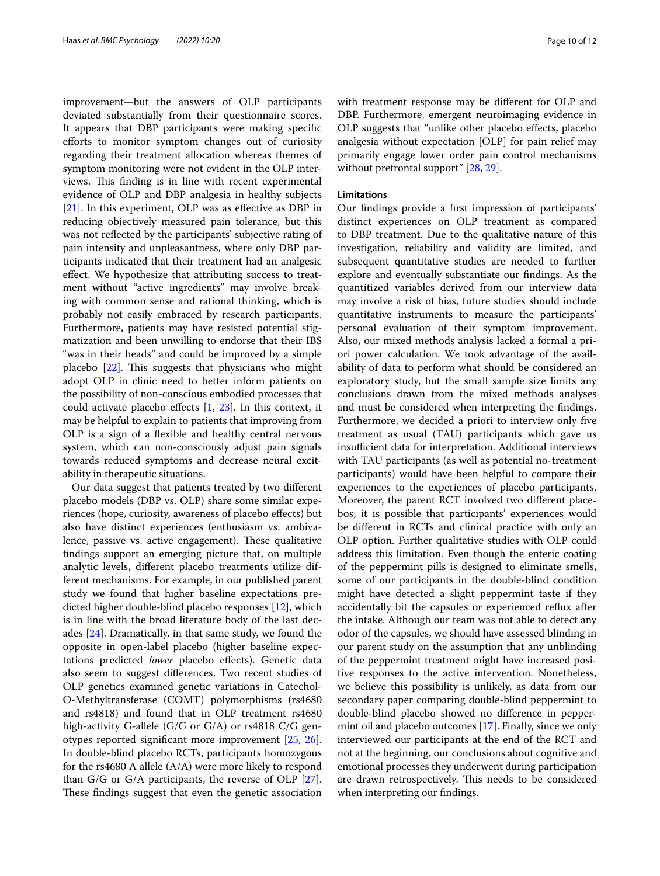improvement—but the answers of OLP participants deviated substantially from their questionnaire scores. It appears that DBP participants were making specifc eforts to monitor symptom changes out of curiosity regarding their treatment allocation whereas themes of symptom monitoring were not evident in the OLP interviews. This finding is in line with recent experimental evidence of OLP and DBP analgesia in healthy subjects [[21\]](#page-11-3). In this experiment, OLP was as effective as DBP in reducing objectively measured pain tolerance, but this was not refected by the participants' subjective rating of pain intensity and unpleasantness, where only DBP participants indicated that their treatment had an analgesic efect. We hypothesize that attributing success to treatment without "active ingredients" may involve breaking with common sense and rational thinking, which is probably not easily embraced by research participants. Furthermore, patients may have resisted potential stigmatization and been unwilling to endorse that their IBS "was in their heads" and could be improved by a simple placebo  $[22]$  $[22]$ . This suggests that physicians who might adopt OLP in clinic need to better inform patients on the possibility of non-conscious embodied processes that could activate placebo effects  $[1, 23]$  $[1, 23]$  $[1, 23]$  $[1, 23]$ . In this context, it may be helpful to explain to patients that improving from OLP is a sign of a fexible and healthy central nervous system, which can non-consciously adjust pain signals towards reduced symptoms and decrease neural excitability in therapeutic situations.

Our data suggest that patients treated by two diferent placebo models (DBP vs. OLP) share some similar experiences (hope, curiosity, awareness of placebo efects) but also have distinct experiences (enthusiasm vs. ambivalence, passive vs. active engagement). These qualitative fndings support an emerging picture that, on multiple analytic levels, diferent placebo treatments utilize different mechanisms. For example, in our published parent study we found that higher baseline expectations predicted higher double-blind placebo responses [\[12\]](#page-10-8), which is in line with the broad literature body of the last decades [[24\]](#page-11-6). Dramatically, in that same study, we found the opposite in open-label placebo (higher baseline expectations predicted *lower* placebo efects). Genetic data also seem to suggest diferences. Two recent studies of OLP genetics examined genetic variations in Catechol-O-Methyltransferase (COMT) polymorphisms (rs4680 and rs4818) and found that in OLP treatment rs4680 high-activity G-allele (G/G or G/A) or rs4818 C/G genotypes reported signifcant more improvement [[25](#page-11-7), [26](#page-11-8)]. In double-blind placebo RCTs, participants homozygous for the rs4680 A allele (A/A) were more likely to respond than  $G/G$  or  $G/A$  participants, the reverse of OLP  $[27]$  $[27]$ . These findings suggest that even the genetic association with treatment response may be diferent for OLP and DBP. Furthermore, emergent neuroimaging evidence in OLP suggests that "unlike other placebo efects, placebo analgesia without expectation [OLP] for pain relief may primarily engage lower order pain control mechanisms without prefrontal support" [[28](#page-11-10), [29\]](#page-11-11).

# **Limitations**

Our fndings provide a frst impression of participants' distinct experiences on OLP treatment as compared to DBP treatment. Due to the qualitative nature of this investigation, reliability and validity are limited, and subsequent quantitative studies are needed to further explore and eventually substantiate our fndings. As the quantitized variables derived from our interview data may involve a risk of bias, future studies should include quantitative instruments to measure the participants' personal evaluation of their symptom improvement. Also, our mixed methods analysis lacked a formal a priori power calculation. We took advantage of the availability of data to perform what should be considered an exploratory study, but the small sample size limits any conclusions drawn from the mixed methods analyses and must be considered when interpreting the fndings. Furthermore, we decided a priori to interview only fve treatment as usual (TAU) participants which gave us insufficient data for interpretation. Additional interviews with TAU participants (as well as potential no-treatment participants) would have been helpful to compare their experiences to the experiences of placebo participants. Moreover, the parent RCT involved two diferent placebos; it is possible that participants' experiences would be diferent in RCTs and clinical practice with only an OLP option. Further qualitative studies with OLP could address this limitation. Even though the enteric coating of the peppermint pills is designed to eliminate smells, some of our participants in the double-blind condition might have detected a slight peppermint taste if they accidentally bit the capsules or experienced refux after the intake. Although our team was not able to detect any odor of the capsules, we should have assessed blinding in our parent study on the assumption that any unblinding of the peppermint treatment might have increased positive responses to the active intervention. Nonetheless, we believe this possibility is unlikely, as data from our secondary paper comparing double-blind peppermint to double-blind placebo showed no diference in peppermint oil and placebo outcomes [[17](#page-10-13)]. Finally, since we only interviewed our participants at the end of the RCT and not at the beginning, our conclusions about cognitive and emotional processes they underwent during participation are drawn retrospectively. This needs to be considered when interpreting our fndings.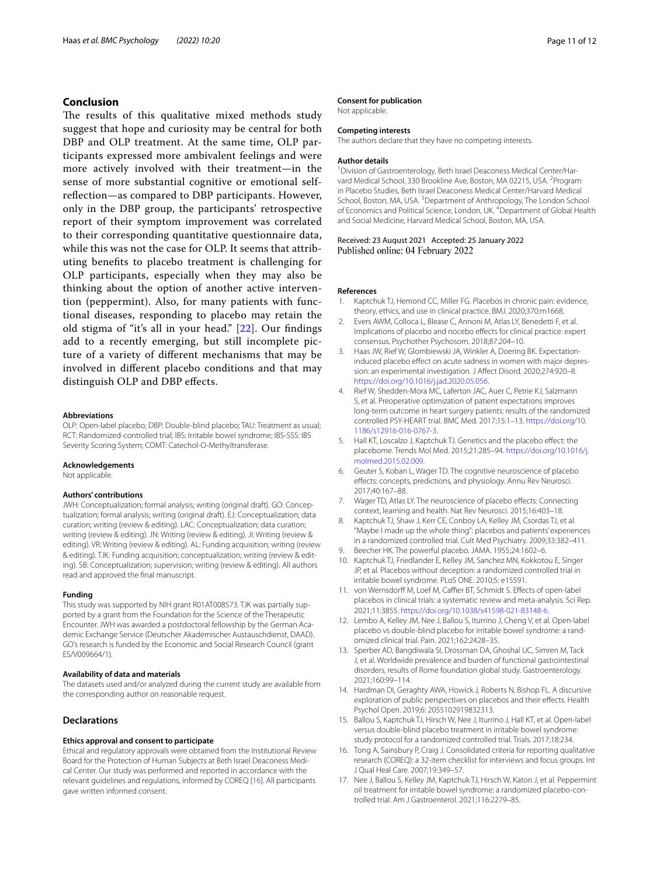# **Conclusion**

The results of this qualitative mixed methods study suggest that hope and curiosity may be central for both DBP and OLP treatment. At the same time, OLP participants expressed more ambivalent feelings and were more actively involved with their treatment—in the sense of more substantial cognitive or emotional selfrefection—as compared to DBP participants. However, only in the DBP group, the participants' retrospective report of their symptom improvement was correlated to their corresponding quantitative questionnaire data, while this was not the case for OLP. It seems that attributing benefts to placebo treatment is challenging for OLP participants, especially when they may also be thinking about the option of another active intervention (peppermint). Also, for many patients with functional diseases, responding to placebo may retain the old stigma of "it's all in your head." [[22\]](#page-11-4). Our fndings add to a recently emerging, but still incomplete picture of a variety of diferent mechanisms that may be involved in diferent placebo conditions and that may distinguish OLP and DBP efects.

### **Abbreviations**

OLP: Open-label placebo; DBP: Double-blind placebo; TAU: Treatment as usual; RCT: Randomized-controlled trial; IBS: Irritable bowel syndrome; IBS-SSS: IBS Severity Scoring System; COMT: Catechol-O-Methyltransferase.

### **Acknowledgements**

Not applicable.

### **Authors' contributions**

JWH: Conceptualization; formal analysis; writing (original draft). GO: Conceptualization; formal analysis; writing (original draft). EJ: Conceptualization; data curation; writing (review & editing). LAC: Conceptualization; data curation; writing (review & editing). JN: Writing (review & editing). JI: Writing (review & editing). VR: Writing (review & editing). AL: Funding acquisition; writing (review & editing). TJK: Funding acquisition; conceptualization; writing (review & editing). SB: Conceptualization; supervision; writing (review & editing). All authors read and approved the fnal manuscript.

### **Funding**

This study was supported by NIH grant R01AT008573. TJK was partially supported by a grant from the Foundation for the Science of the Therapeutic Encounter. JWH was awarded a postdoctoral fellowship by the German Academic Exchange Service (Deutscher Akademischer Austauschdienst, DAAD). GO's research is funded by the Economic and Social Research Council (grant ES/V009664/1).

# **Availability of data and materials**

The datasets used and/or analyzed during the current study are available from the corresponding author on reasonable request.

# **Declarations**

### **Ethics approval and consent to participate**

Ethical and regulatory approvals were obtained from the Institutional Review Board for the Protection of Human Subjects at Beth Israel Deaconess Medical Center. Our study was performed and reported in accordance with the relevant guidelines and regulations, informed by COREQ [[16](#page-10-12)]. All participants gave written informed consent.

### **Consent for publication**

Not applicable.

# **Competing interests**

The authors declare that they have no competing interests.

### **Author details**

<sup>1</sup> Division of Gastroenterology, Beth Israel Deaconess Medical Center/Harvard Medical School, 330 Brookline Ave, Boston, MA 02215, USA. <sup>2</sup> Program in Placebo Studies, Beth Israel Deaconess Medical Center/Harvard Medical School, Boston, MA, USA.<sup>3</sup> Department of Anthropology, The London School of Economics and Political Science, London, UK. <sup>4</sup> Department of Global Health and Social Medicine, Harvard Medical School, Boston, MA, USA.

Received: 23 August 2021 Accepted: 25 January 2022 Published online: 04 February 2022

### **References**

- <span id="page-10-0"></span>Kaptchuk TJ, Hemond CC, Miller FG. Placebos in chronic pain: evidence, theory, ethics, and use in clinical practice. BMJ. 2020;370:m1668.
- <span id="page-10-1"></span>Evers AWM, Colloca L, Blease C, Annoni M, Atlas LY, Benedetti F, et al. Implications of placebo and nocebo efects for clinical practice: expert consensus. Psychother Psychosom. 2018;87:204–10.
- <span id="page-10-2"></span>3. Haas JW, Rief W, Glombiewski JA, Winkler A, Doering BK. Expectationinduced placebo effect on acute sadness in women with major depression: an experimental investigation. J Afect Disord. 2020;274:920–8. <https://doi.org/10.1016/j.jad.2020.05.056>.
- Rief W, Shedden-Mora MC, Laferton JAC, Auer C, Petrie KJ, Salzmann S, et al. Preoperative optimization of patient expectations improves long-term outcome in heart surgery patients: results of the randomized controlled PSY-HEART trial. BMC Med. 2017;15:1–13. [https://doi.org/10.](https://doi.org/10.1186/s12916-016-0767-3) [1186/s12916-016-0767-3](https://doi.org/10.1186/s12916-016-0767-3).
- 5. Hall KT, Loscalzo J, Kaptchuk TJ. Genetics and the placebo efect: the placebome. Trends Mol Med. 2015;21:285–94. [https://doi.org/10.1016/j.](https://doi.org/10.1016/j.molmed.2015.02.009) [molmed.2015.02.009](https://doi.org/10.1016/j.molmed.2015.02.009).
- 6. Geuter S, Koban L, Wager TD. The cognitive neuroscience of placebo efects: concepts, predictions, and physiology. Annu Rev Neurosci. 2017;40:167–88.
- <span id="page-10-3"></span>7. Wager TD, Atlas LY. The neuroscience of placebo effects: Connecting context, learning and health. Nat Rev Neurosci. 2015;16:403–18.
- <span id="page-10-4"></span>8. Kaptchuk TJ, Shaw J, Kerr CE, Conboy LA, Kelley JM, Csordas TJ, et al. "Maybe I made up the whole thing": placebos and patients' experiences in a randomized controlled trial. Cult Med Psychiatry. 2009;33:382–411. 9. Beecher HK. The powerful placebo. JAMA. 1955;24:1602–6.
- <span id="page-10-6"></span><span id="page-10-5"></span>10. Kaptchuk TJ, Friedlander E, Kelley JM, Sanchez MN, Kokkotou E, Singer JP, et al. Placebos without deception: a randomized controlled trial in irritable bowel syndrome. PLoS ONE. 2010;5: e15591.
- <span id="page-10-7"></span>11. von Wernsdorff M, Loef M, Caffier BT, Schmidt S. Effects of open-label placebos in clinical trials: a systematic review and meta-analysis. Sci Rep. 2021;11:3855. <https://doi.org/10.1038/s41598-021-83148-6>.
- <span id="page-10-8"></span>12. Lembo A, Kelley JM, Nee J, Ballou S, Iturrino J, Cheng V, et al. Open-label placebo vs double-blind placebo for irritable bowel syndrome: a randomized clinical trial. Pain. 2021;162:2428–35.
- <span id="page-10-9"></span>13. Sperber AD, Bangdiwala SI, Drossman DA, Ghoshal UC, Simren M, Tack J, et al. Worldwide prevalence and burden of functional gastrointestinal disorders, results of Rome foundation global study. Gastroenterology. 2021;160:99–114.
- <span id="page-10-10"></span>14. Hardman DI, Geraghty AWA, Howick J, Roberts N, Bishop FL. A discursive exploration of public perspectives on placebos and their efects. Health Psychol Open. 2019;6: 2055102919832313.
- <span id="page-10-11"></span>15. Ballou S, Kaptchuk TJ, Hirsch W, Nee J, Iturrino J, Hall KT, et al. Open-label versus double-blind placebo treatment in irritable bowel syndrome: study protocol for a randomized controlled trial. Trials. 2017;18:234.
- <span id="page-10-12"></span>16. Tong A, Sainsbury P, Craig J. Consolidated criteria for reporting qualitative research (COREQ): a 32-item checklist for interviews and focus groups. Int J Qual Heal Care. 2007;19:349–57.
- <span id="page-10-13"></span>17. Nee J, Ballou S, Kelley JM, Kaptchuk TJ, Hirsch W, Katon J, et al. Peppermint oil treatment for irritable bowel syndrome: a randomized placebo-controlled trial. Am J Gastroenterol. 2021;116:2279–85.